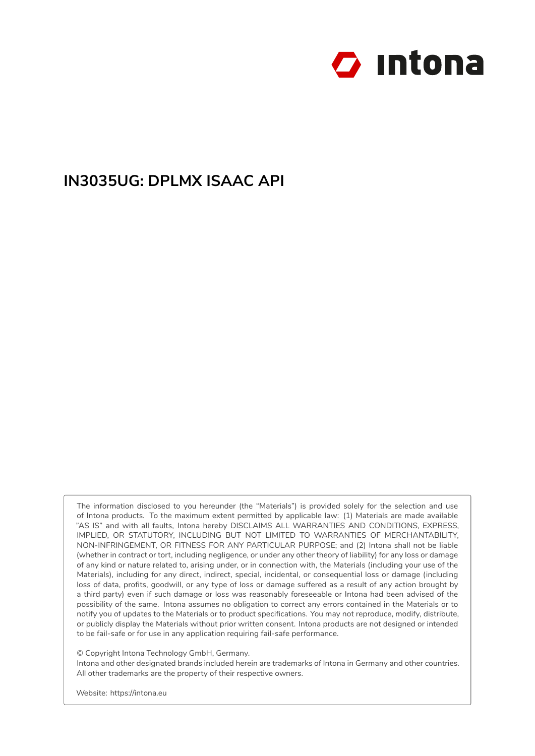

# **IN3035UG: DPLMX ISAAC API**

The information disclosed to you hereunder (the "Materials") is provided solely for the selection and use of Intona products. To the maximum extent permitted by applicable law: (1) Materials are made available "AS IS" and with all faults, Intona hereby DISCLAIMS ALL WARRANTIES AND CONDITIONS, EXPRESS, IMPLIED, OR STATUTORY, INCLUDING BUT NOT LIMITED TO WARRANTIES OF MERCHANTABILITY, NON-INFRINGEMENT, OR FITNESS FOR ANY PARTICULAR PURPOSE; and (2) Intona shall not be liable (whether in contract or tort, including negligence, or under any other theory of liability) for any loss or damage of any kind or nature related to, arising under, or in connection with, the Materials (including your use of the Materials), including for any direct, indirect, special, incidental, or consequential loss or damage (including loss of data, profits, goodwill, or any type of loss or damage suffered as a result of any action brought by a third party) even if such damage or loss was reasonably foreseeable or Intona had been advised of the possibility of the same. Intona assumes no obligation to correct any errors contained in the Materials or to notify you of updates to the Materials or to product specifications. You may not reproduce, modify, distribute, or publicly display the Materials without prior written consent. Intona products are not designed or intended to be fail-safe or for use in any application requiring fail-safe performance.

© Copyright Intona Technology GmbH, Germany.

Intona and other designated brands included herein are trademarks of Intona in Germany and other countries. All other trademarks are the property of their respective owners.

Website: https://intona.eu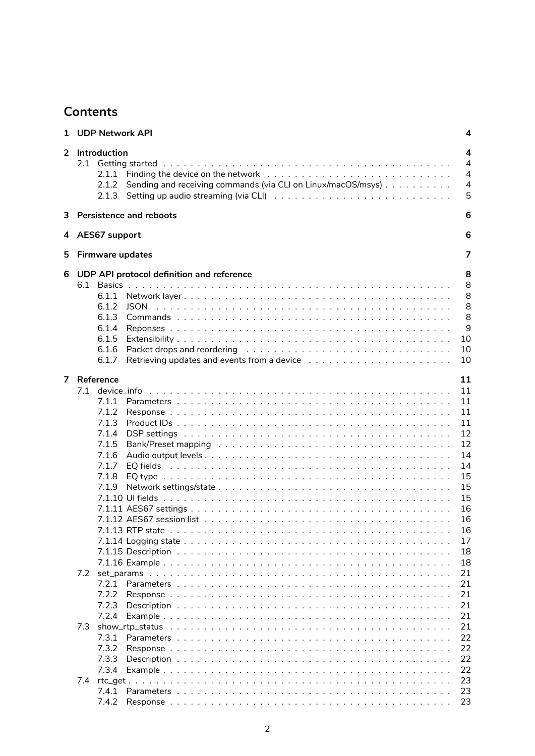# **Contents**

| 1              | <b>UDP Network API</b>                                                                                                               | 4                                                                                                  |
|----------------|--------------------------------------------------------------------------------------------------------------------------------------|----------------------------------------------------------------------------------------------------|
| $\overline{2}$ | Introduction<br>2.1.1<br>Sending and receiving commands (via CLI on Linux/macOS/msys)<br>2.1.2<br>2.1.3                              | 4<br>4<br>$\overline{4}$<br>$\overline{4}$<br>5                                                    |
| 3              | <b>Persistence and reboots</b>                                                                                                       | 6                                                                                                  |
|                | 4 AES67 support                                                                                                                      | 6                                                                                                  |
| 5              | <b>Firmware updates</b>                                                                                                              | 7                                                                                                  |
| 6              | UDP API protocol definition and reference<br>6.1.1<br>6.1.2<br><b>JSON</b><br>6.1.3<br>6.1.4<br>6.1.5<br>6.1.6<br>6.1.7              | 8<br>8<br>8<br>8<br>8<br>9<br>10<br>10<br>10                                                       |
| $\overline{7}$ | Reference<br>7.1<br>device_info<br>7.1.1<br>7.1.2<br>7.1.3<br>7.1.4<br>7.1.5<br>7.1.6<br>7.1.7<br>7.1.8<br>7.1.9<br>7.1.13 RTP state | 11<br>11<br>11<br>11<br>11<br>12<br>12<br>14<br>14<br>15<br>15<br>15<br>16<br>16<br>16<br>17<br>18 |
|                | 7.2<br>7.2.1<br>7.2.2<br>7.2.3<br>7.2.4<br>7.3<br>7.3.1<br>7.3.2<br>7.3.3<br>7.3.4                                                   | 18<br>21<br>21<br>21<br>21<br>21<br>21<br>22<br>22<br>22<br>22                                     |
|                | 7.4<br>7.4.1<br>7.4.2                                                                                                                | 23<br>23<br>23                                                                                     |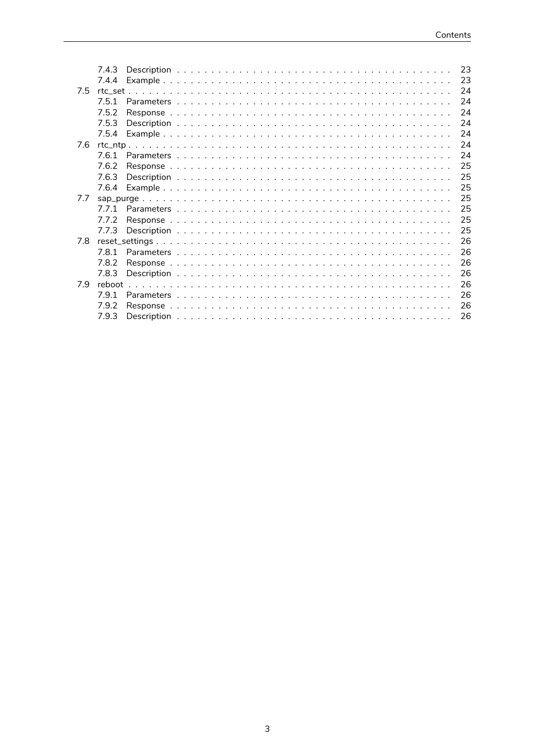|     | 7.4.3  |  |  |  |  |  |  |  |  |  |  |  |  |  |  |  | 23 |
|-----|--------|--|--|--|--|--|--|--|--|--|--|--|--|--|--|--|----|
|     | 7.4.4  |  |  |  |  |  |  |  |  |  |  |  |  |  |  |  | 23 |
| 7.5 |        |  |  |  |  |  |  |  |  |  |  |  |  |  |  |  | 24 |
|     | 7.5.1  |  |  |  |  |  |  |  |  |  |  |  |  |  |  |  | 24 |
|     | 7.5.2  |  |  |  |  |  |  |  |  |  |  |  |  |  |  |  | 24 |
|     | 7.5.3  |  |  |  |  |  |  |  |  |  |  |  |  |  |  |  | 24 |
|     | 7.5.4  |  |  |  |  |  |  |  |  |  |  |  |  |  |  |  | 24 |
| 7.6 |        |  |  |  |  |  |  |  |  |  |  |  |  |  |  |  | 24 |
|     | 7.6.1  |  |  |  |  |  |  |  |  |  |  |  |  |  |  |  | 24 |
|     | 7.6.2  |  |  |  |  |  |  |  |  |  |  |  |  |  |  |  | 25 |
|     | 7.6.3  |  |  |  |  |  |  |  |  |  |  |  |  |  |  |  | 25 |
|     | 7.6.4  |  |  |  |  |  |  |  |  |  |  |  |  |  |  |  | 25 |
| 7.7 |        |  |  |  |  |  |  |  |  |  |  |  |  |  |  |  | 25 |
|     | 771    |  |  |  |  |  |  |  |  |  |  |  |  |  |  |  | 25 |
|     | 7.7.2  |  |  |  |  |  |  |  |  |  |  |  |  |  |  |  | 25 |
|     | 7.7.3  |  |  |  |  |  |  |  |  |  |  |  |  |  |  |  | 25 |
| 7.8 |        |  |  |  |  |  |  |  |  |  |  |  |  |  |  |  | 26 |
|     | 781    |  |  |  |  |  |  |  |  |  |  |  |  |  |  |  | 26 |
|     | 7.8.2  |  |  |  |  |  |  |  |  |  |  |  |  |  |  |  | 26 |
|     | 7.8.3  |  |  |  |  |  |  |  |  |  |  |  |  |  |  |  | 26 |
| 7.9 | reboot |  |  |  |  |  |  |  |  |  |  |  |  |  |  |  | 26 |
|     | 7.9.1  |  |  |  |  |  |  |  |  |  |  |  |  |  |  |  | 26 |
|     | 7.9.2  |  |  |  |  |  |  |  |  |  |  |  |  |  |  |  | 26 |
|     | 7.9.3  |  |  |  |  |  |  |  |  |  |  |  |  |  |  |  | 26 |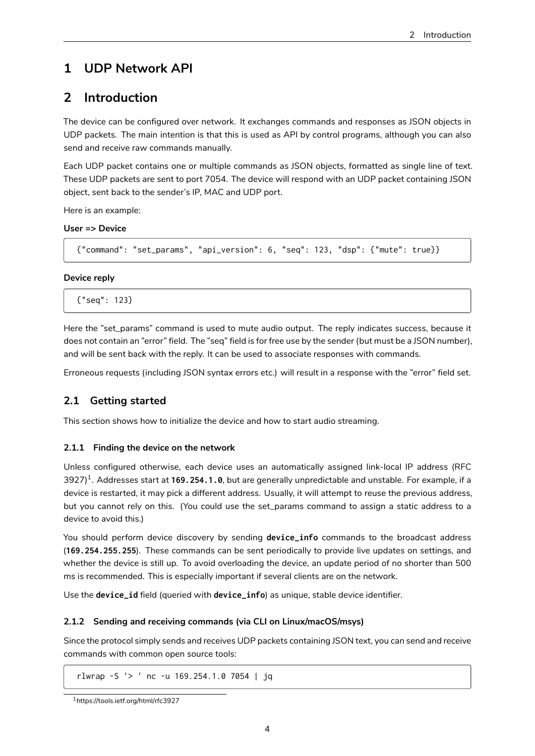# **1 UDP Network API**

# **2 Introduction**

<span id="page-3-1"></span><span id="page-3-0"></span>The device can be configured over network. It exchanges commands and responses as JSON objects in UDP packets. The main intention is that this is used as API by control programs, although you can also send and receive raw commands manually.

Each UDP packet contains one or multiple commands as JSON objects, formatted as single line of text. These UDP packets are sent to port 7054. The device will respond with an UDP packet containing JSON object, sent back to the sender's IP, MAC and UDP port.

Here is an example:

### **User => Device**

```
{"command": "set_params", "api_version": 6, "seq": 123, "dsp": {"mute": true}}
```
### **Device reply**

{"seq": 123}

Here the "set\_params" command is used to mute audio output. The reply indicates success, because it does not contain an "error" field. The "seq" field is for free use by the sender (but must be a JSON number), and will be sent back with the reply. It can be used to associate responses with commands.

Erroneous requests (including JSON syntax errors etc.) will result in a response with the "error" field set.

# **2.1 Getting started**

This section shows how to initialize the device and how to start audio streaming.

## <span id="page-3-2"></span>**2.1.1 Finding the device on the network**

<span id="page-3-3"></span>Unless configured otherwise, each device uses an automatically assigned link-local IP address (RFC 3927)<sup>1</sup>. Addresses start at **169.254.1.0**, but are generally unpredictable and unstable. For example, if a device is restarted, it may pick a different address. Usually, it will attempt to reuse the previous address, but you cannot rely on this. (You could use the set\_params command to assign a static address to a devic[e t](#page-3-5)o avoid this.)

You should perform device discovery by sending **device\_info** commands to the broadcast address (**169.254.255.255**). These commands can be sent periodically to provide live updates on settings, and whether the device is still up. To avoid overloading the device, an update period of no shorter than 500 ms is recommended. This is especially important if several clients are on the network.

Use the **device\_id** field (queried with **device\_info**) as unique, stable device identifier.

## **2.1.2 Sending and receiving commands (via CLI on Linux/macOS/msys)**

<span id="page-3-4"></span>Since the protocol simply sends and receives UDP packets containing JSON text, you can send and receive commands with common open source tools:

rlwrap -S '> ' nc -u 169.254.1.0 7054 | jq

<span id="page-3-5"></span><sup>1</sup>https://tools.ietf.org/html/rfc3927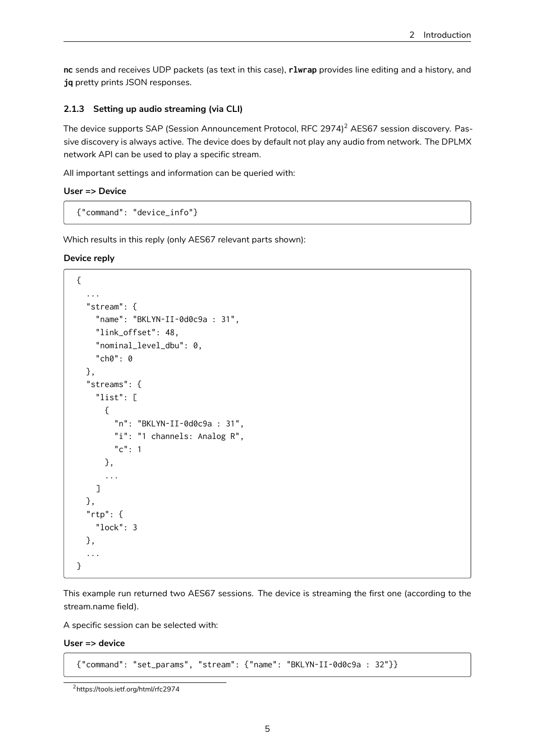**nc** sends and receives UDP packets (as text in this case), **rlwrap** provides line editing and a history, and **jq** pretty prints JSON responses.

#### **2.1.3 Setting up audio streaming (via CLI)**

<span id="page-4-0"></span>The device supports SAP (Session Announcement Protocol, RFC 2974)<sup>2</sup> AES67 session discovery. Passive discovery is always active. The device does by default not play any audio from network. The DPLMX network API can be used to play a specific stream.

All important settings and information can be queried with:

#### **User => Device**

{"command": "device\_info"}

Which results in this reply (only AES67 relevant parts shown):

#### **Device reply**

```
{
  ...
  "stream": {
    "name": "BKLYN-II-0d0c9a : 31",
    "link_offset": 48,
    "nominal_level_dbu": 0,
    "ch0": 0
 },
  "streams": {
    "list": [
     {
        "n": "BKLYN-II-0d0c9a : 31",
        "i": "1 channels: Analog R",
        "c": 1
      },
      ...
    ]
 },
  "rtp": {
    "lock": 3
 },
  ...
}
```
This example run returned two AES67 sessions. The device is streaming the first one (according to the stream.name field).

A specific session can be selected with:

**User => device**

{"command": "set\_params", "stream": {"name": "BKLYN-II-0d0c9a : 32"}}

<sup>2</sup>https://tools.ietf.org/html/rfc2974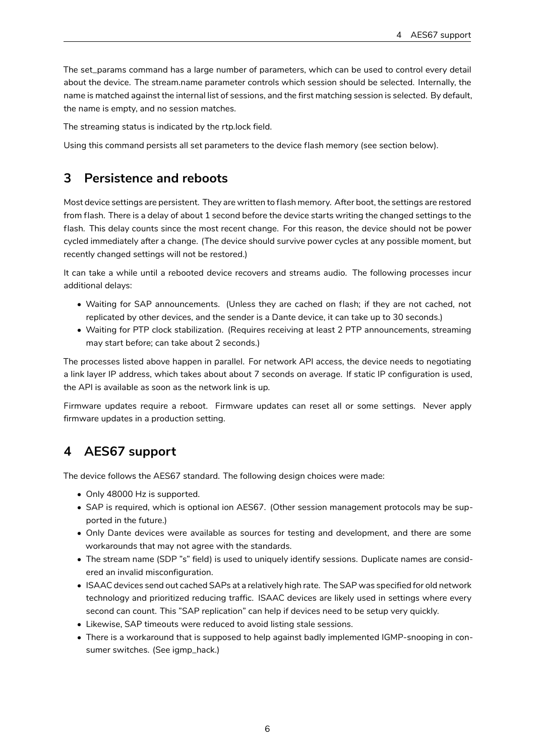The set\_params command has a large number of parameters, which can be used to control every detail about the device. The stream.name parameter controls which session should be selected. Internally, the name is matched against the internal list of sessions, and the first matching session is selected. By default, the name is empty, and no session matches.

The streaming status is indicated by the rtp.lock field.

Using this command persists all set parameters to the device flash memory (see section below).

# <span id="page-5-0"></span>**3 Persistence and reboots**

Most device settings are persistent. They are written to flash memory. After boot, the settings are restored from flash. There is a delay of about 1 second before the device starts writing the changed settings to the flash. This delay counts since the most recent change. For this reason, the device should not be power cycled immediately after a change. (The device should survive power cycles at any possible moment, but recently changed settings will not be restored.)

It can take a while until a rebooted device recovers and streams audio. The following processes incur additional delays:

- Waiting for SAP announcements. (Unless they are cached on flash; if they are not cached, not replicated by other devices, and the sender is a Dante device, it can take up to 30 seconds.)
- Waiting for PTP clock stabilization. (Requires receiving at least 2 PTP announcements, streaming may start before; can take about 2 seconds.)

The processes listed above happen in parallel. For network API access, the device needs to negotiating a link layer IP address, which takes about about 7 seconds on average. If static IP configuration is used, the API is available as soon as the network link is up.

Firmware updates require a reboot. Firmware updates can reset all or some settings. Never apply firmware updates in a production setting.

# <span id="page-5-1"></span>**4 AES67 support**

The device follows the AES67 standard. The following design choices were made:

- Only 48000 Hz is supported.
- SAP is required, which is optional ion AES67. (Other session management protocols may be supported in the future.)
- Only Dante devices were available as sources for testing and development, and there are some workarounds that may not agree with the standards.
- The stream name (SDP "s" field) is used to uniquely identify sessions. Duplicate names are considered an invalid misconfiguration.
- ISAAC devices send out cached SAPs at a relatively high rate. The SAP was specified for old network technology and prioritized reducing traffic. ISAAC devices are likely used in settings where every second can count. This "SAP replication" can help if devices need to be setup very quickly.
- Likewise, SAP timeouts were reduced to avoid listing stale sessions.
- There is a workaround that is supposed to help against badly implemented IGMP-snooping in consumer switches. (See igmp\_hack.)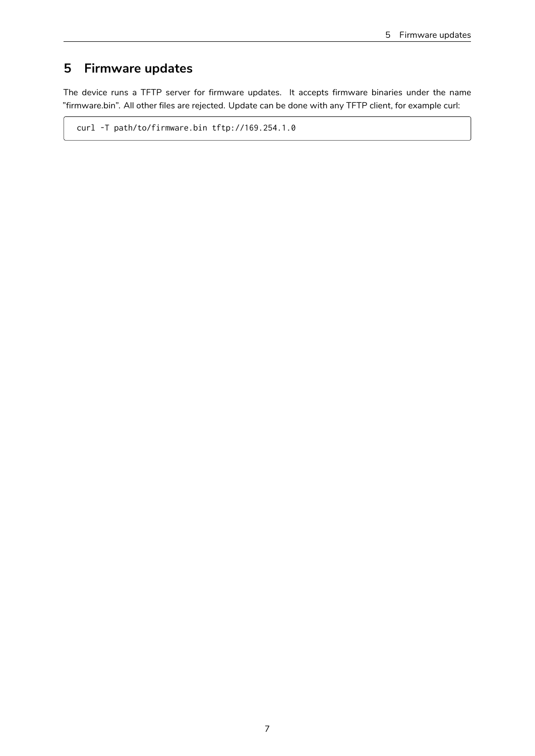# <span id="page-6-0"></span>**5 Firmware updates**

The device runs a TFTP server for firmware updates. It accepts firmware binaries under the name "firmware.bin". All other files are rejected. Update can be done with any TFTP client, for example curl:

curl -T path/to/firmware.bin tftp://169.254.1.0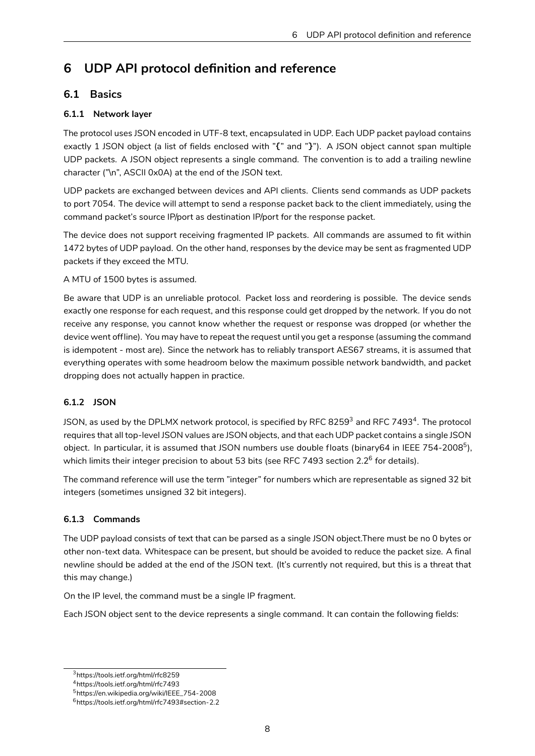# **6 UDP API protocol definition and reference**

# **6.1 Basics**

# <span id="page-7-0"></span>**6.1.1 Network layer**

<span id="page-7-2"></span><span id="page-7-1"></span>The protocol uses JSON encoded in UTF-8 text, encapsulated in UDP. Each UDP packet payload contains exactly 1 JSON object (a list of fields enclosed with "**{**" and "**}**"). A JSON object cannot span multiple UDP packets. A JSON object represents a single command. The convention is to add a trailing newline character ("\n", ASCII 0x0A) at the end of the JSON text.

UDP packets are exchanged between devices and API clients. Clients send commands as UDP packets to port 7054. The device will attempt to send a response packet back to the client immediately, using the command packet's source IP/port as destination IP/port for the response packet.

The device does not support receiving fragmented IP packets. All commands are assumed to fit within 1472 bytes of UDP payload. On the other hand, responses by the device may be sent as fragmented UDP packets if they exceed the MTU.

A MTU of 1500 bytes is assumed.

Be aware that UDP is an unreliable protocol. Packet loss and reordering is possible. The device sends exactly one response for each request, and this response could get dropped by the network. If you do not receive any response, you cannot know whether the request or response was dropped (or whether the device went offline). You may have to repeat the request until you get a response (assuming the command is idempotent - most are). Since the network has to reliably transport AES67 streams, it is assumed that everything operates with some headroom below the maximum possible network bandwidth, and packet dropping does not actually happen in practice.

# **6.1.2 JSON**

<span id="page-7-3"></span>JSON, as used by the DPLMX network protocol, is specified by RFC 8259 $^{\rm 3}$  and RFC 7493 $^{\rm 4}$ . The protocol requires that all top-level JSON values are JSON objects, and that each UDP packet contains a single JSON object. In particular, it is assumed that JSON numbers use double floats (binary64 in IEEE 754-2008<sup>5</sup>), which limits their i[n](#page-7-5)teger precision to about 53 bits (see RFC 7493 section 2.2 $^6$  for detail[s\)](#page-7-6).

The command reference will use the term "integer" for numbers which are representable as signed 32 bit integers (sometimes unsigned 32 bit integers).

# **6.1.3 Commands**

<span id="page-7-4"></span>The UDP payload consists of text that can be parsed as a single JSON object.There must be no 0 bytes or other non-text data. Whitespace can be present, but should be avoided to reduce the packet size. A final newline should be added at the end of the JSON text. (It's currently not required, but this is a threat that this may change.)

On the IP level, the command must be a single IP fragment.

Each JSON object sent to the device represents a single command. It can contain the following fields:

<sup>3</sup>https://tools.ietf.org/html/rfc8259

<sup>4</sup>https://tools.ietf.org/html/rfc7493

<sup>5</sup>https://en.wikipedia.org/wiki/IEEE\_754-2008

<span id="page-7-6"></span><span id="page-7-5"></span><sup>6</sup>https://tools.ietf.org/html/rfc7493#section-2.2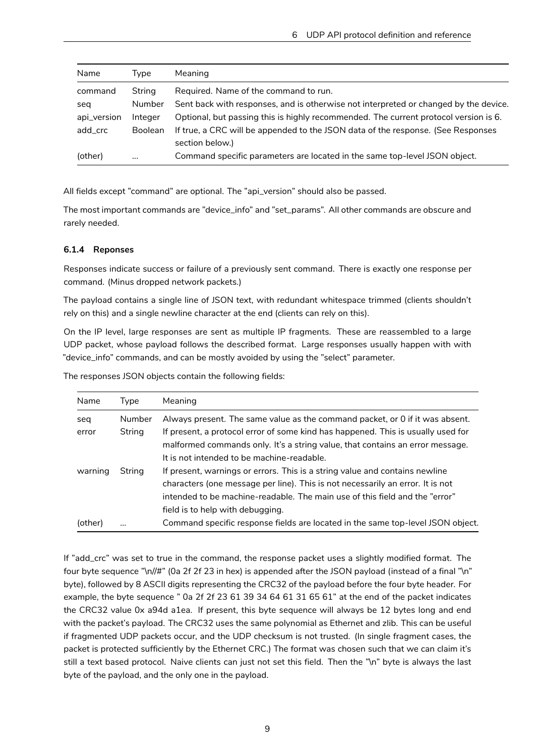| Name        | Tvpe           | <b>Meaning</b>                                                                       |
|-------------|----------------|--------------------------------------------------------------------------------------|
| command     | String         | Required. Name of the command to run.                                                |
| seg         | Number         | Sent back with responses, and is otherwise not interpreted or changed by the device. |
| api_version | Integer        | Optional, but passing this is highly recommended. The current protocol version is 6. |
| add_crc     | <b>Boolean</b> | If true, a CRC will be appended to the JSON data of the response. (See Responses     |
|             |                | section below.)                                                                      |
| (other)     | $\cdots$       | Command specific parameters are located in the same top-level JSON object.           |

All fields except "command" are optional. The "api\_version" should also be passed.

The most important commands are "device\_info" and "set\_params". All other commands are obscure and rarely needed.

### <span id="page-8-0"></span>**6.1.4 Reponses**

Responses indicate success or failure of a previously sent command. There is exactly one response per command. (Minus dropped network packets.)

The payload contains a single line of JSON text, with redundant whitespace trimmed (clients shouldn't rely on this) and a single newline character at the end (clients can rely on this).

On the IP level, large responses are sent as multiple IP fragments. These are reassembled to a large UDP packet, whose payload follows the described format. Large responses usually happen with with "device\_info" commands, and can be mostly avoided by using the "select" parameter.

| Name    | Type   | Meaning                                                                          |
|---------|--------|----------------------------------------------------------------------------------|
| seq     | Number | Always present. The same value as the command packet, or 0 if it was absent.     |
| error   | String | If present, a protocol error of some kind has happened. This is usually used for |
|         |        | malformed commands only. It's a string value, that contains an error message.    |
|         |        | It is not intended to be machine-readable.                                       |
| warning | String | If present, warnings or errors. This is a string value and contains newline      |
|         |        | characters (one message per line). This is not necessarily an error. It is not   |
|         |        | intended to be machine-readable. The main use of this field and the "error"      |
|         |        | field is to help with debugging.                                                 |
| (other) |        | Command specific response fields are located in the same top-level JSON object.  |

The responses JSON objects contain the following fields:

If "add\_crc" was set to true in the command, the response packet uses a slightly modified format. The four byte sequence "\n//#" (0a 2f 2f 23 in hex) is appended after the JSON payload (instead of a final "\n" byte), followed by 8 ASCII digits representing the CRC32 of the payload before the four byte header. For example, the byte sequence " 0a 2f 2f 23 61 39 34 64 61 31 65 61" at the end of the packet indicates the CRC32 value 0x a94d a1ea. If present, this byte sequence will always be 12 bytes long and end with the packet's payload. The CRC32 uses the same polynomial as Ethernet and zlib. This can be useful if fragmented UDP packets occur, and the UDP checksum is not trusted. (In single fragment cases, the packet is protected sufficiently by the Ethernet CRC.) The format was chosen such that we can claim it's still a text based protocol. Naive clients can just not set this field. Then the "\n" byte is always the last byte of the payload, and the only one in the payload.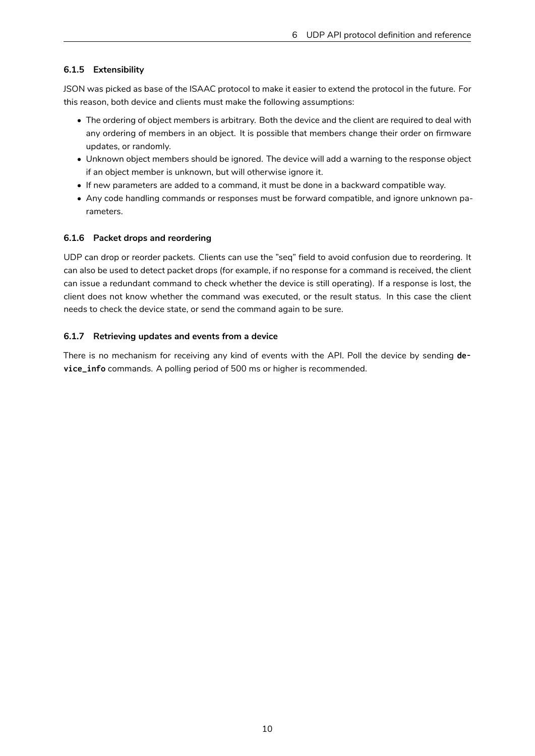# <span id="page-9-0"></span>**6.1.5 Extensibility**

JSON was picked as base of the ISAAC protocol to make it easier to extend the protocol in the future. For this reason, both device and clients must make the following assumptions:

- The ordering of object members is arbitrary. Both the device and the client are required to deal with any ordering of members in an object. It is possible that members change their order on firmware updates, or randomly.
- Unknown object members should be ignored. The device will add a warning to the response object if an object member is unknown, but will otherwise ignore it.
- If new parameters are added to a command, it must be done in a backward compatible way.
- Any code handling commands or responses must be forward compatible, and ignore unknown parameters.

## <span id="page-9-1"></span>**6.1.6 Packet drops and reordering**

UDP can drop or reorder packets. Clients can use the "seq" field to avoid confusion due to reordering. It can also be used to detect packet drops (for example, if no response for a command is received, the client can issue a redundant command to check whether the device is still operating). If a response is lost, the client does not know whether the command was executed, or the result status. In this case the client needs to check the device state, or send the command again to be sure.

# <span id="page-9-2"></span>**6.1.7 Retrieving updates and events from a device**

There is no mechanism for receiving any kind of events with the API. Poll the device by sending **device\_info** commands. A polling period of 500 ms or higher is recommended.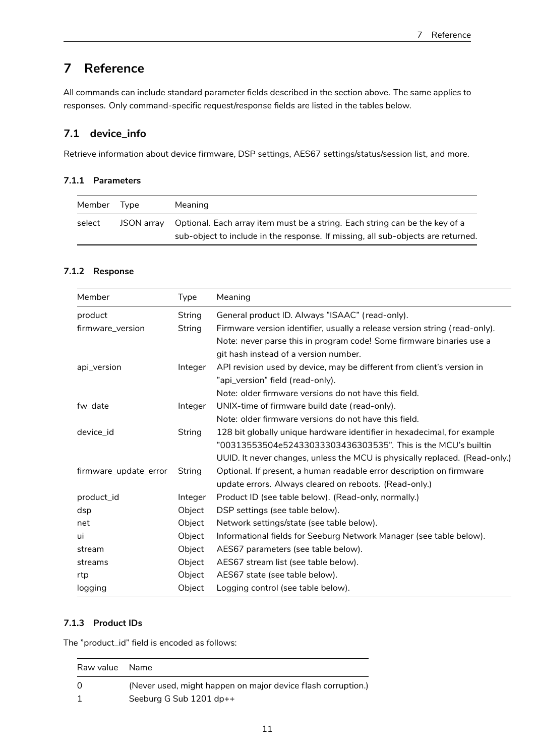# <span id="page-10-0"></span>**7 Reference**

All commands can include standard parameter fields described in the section above. The same applies to responses. Only command-specific request/response fields are listed in the tables below.

# <span id="page-10-1"></span>**7.1 device\_info**

Retrieve information about device firmware, DSP settings, AES67 settings/status/session list, and more.

## <span id="page-10-2"></span>**7.1.1 Parameters**

| Member | Tvpe       | Meaning                                                                                                                                                         |
|--------|------------|-----------------------------------------------------------------------------------------------------------------------------------------------------------------|
| select | JSON arrav | Optional. Each array item must be a string. Each string can be the key of a<br>sub-object to include in the response. If missing, all sub-objects are returned. |

## <span id="page-10-3"></span>**7.1.2 Response**

| Member                | <b>Type</b> | Meaning                                                                     |
|-----------------------|-------------|-----------------------------------------------------------------------------|
| product               | String      | General product ID. Always "ISAAC" (read-only).                             |
| firmware_version      | String      | Firmware version identifier, usually a release version string (read-only).  |
|                       |             | Note: never parse this in program code! Some firmware binaries use a        |
|                       |             | git hash instead of a version number.                                       |
| api_version           | Integer     | API revision used by device, may be different from client's version in      |
|                       |             | "api_version" field (read-only).                                            |
|                       |             | Note: older firmware versions do not have this field.                       |
| fw_date               | Integer     | UNIX-time of firmware build date (read-only).                               |
|                       |             | Note: older firmware versions do not have this field.                       |
| device id             | String      | 128 bit globally unique hardware identifier in hexadecimal, for example     |
|                       |             | "00313553504e52433033303436303535". This is the MCU's builtin               |
|                       |             | UUID. It never changes, unless the MCU is physically replaced. (Read-only.) |
| firmware_update_error | String      | Optional. If present, a human readable error description on firmware        |
|                       |             | update errors. Always cleared on reboots. (Read-only.)                      |
| product_id            | Integer     | Product ID (see table below). (Read-only, normally.)                        |
| dsp                   | Object      | DSP settings (see table below).                                             |
| net                   | Object      | Network settings/state (see table below).                                   |
| ui                    | Object      | Informational fields for Seeburg Network Manager (see table below).         |
| stream                | Object      | AES67 parameters (see table below).                                         |
| streams               | Object      | AES67 stream list (see table below).                                        |
| rtp                   | Object      | AES67 state (see table below).                                              |
| logging               | Object      | Logging control (see table below).                                          |

# <span id="page-10-4"></span>**7.1.3 Product IDs**

The "product\_id" field is encoded as follows:

| Raw value Name |                                                              |
|----------------|--------------------------------------------------------------|
| $\Omega$       | (Never used, might happen on major device flash corruption.) |
|                | Seeburg G Sub $1201$ dp++                                    |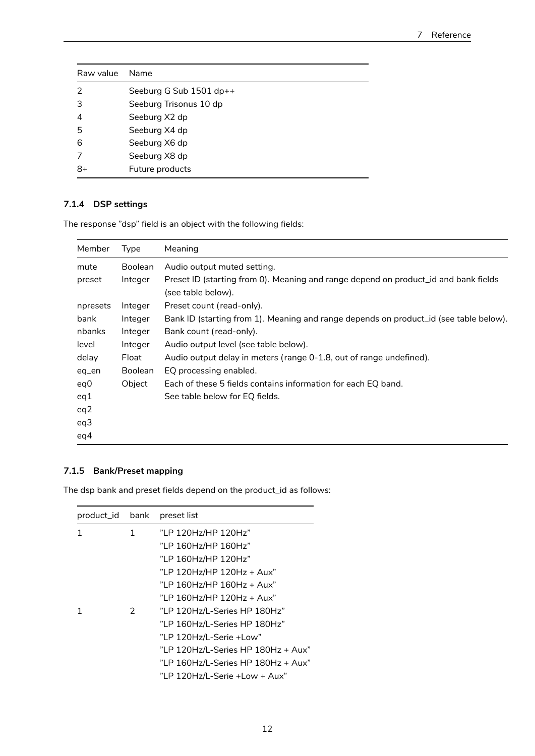| Raw value Name |                         |
|----------------|-------------------------|
| 2              | Seeburg G Sub 1501 dp++ |
| 3              | Seeburg Trisonus 10 dp  |
| 4              | Seeburg X2 dp           |
| 5              | Seeburg X4 dp           |
| 6              | Seeburg X6 dp           |
|                | Seeburg X8 dp           |
| 8+             | Future products         |

# <span id="page-11-0"></span>**7.1.4 DSP settings**

The response "dsp" field is an object with the following fields:

| Member   | Type           | Meaning                                                                               |
|----------|----------------|---------------------------------------------------------------------------------------|
| mute     | <b>Boolean</b> | Audio output muted setting.                                                           |
| preset   | Integer        | Preset ID (starting from 0). Meaning and range depend on product id and bank fields   |
|          |                | (see table below).                                                                    |
| npresets | Integer        | Preset count (read-only).                                                             |
| bank     | Integer        | Bank ID (starting from 1). Meaning and range depends on product_id (see table below). |
| nbanks   | Integer        | Bank count (read-only).                                                               |
| level    | Integer        | Audio output level (see table below).                                                 |
| delay    | Float          | Audio output delay in meters (range 0-1.8, out of range undefined).                   |
| eq_en    | <b>Boolean</b> | EQ processing enabled.                                                                |
| eq0      | Object         | Each of these 5 fields contains information for each EQ band.                         |
| eq1      |                | See table below for EQ fields.                                                        |
| eq2      |                |                                                                                       |
| eq3      |                |                                                                                       |
| eq4      |                |                                                                                       |

# <span id="page-11-1"></span>**7.1.5 Bank/Preset mapping**

The dsp bank and preset fields depend on the product\_id as follows:

| product_id bank |   | preset list                        |
|-----------------|---|------------------------------------|
| 1               | 1 | "LP 120Hz/HP 120Hz"                |
|                 |   | "LP 160Hz/HP 160Hz"                |
|                 |   | "LP 160Hz/HP 120Hz"                |
|                 |   | "LP 120Hz/HP 120Hz + Aux"          |
|                 |   | "LP 160Hz/HP 160Hz + Aux"          |
|                 |   | "LP 160Hz/HP 120Hz + Aux"          |
| 1               | 2 | "LP 120Hz/L-Series HP 180Hz"       |
|                 |   | "LP 160Hz/L-Series HP 180Hz"       |
|                 |   | "LP 120Hz/L-Serie +Low"            |
|                 |   | "LP 120Hz/L-Series HP 180Hz + Aux" |
|                 |   | "LP 160Hz/L-Series HP 180Hz + Aux" |
|                 |   | "LP 120Hz/L-Serie +Low + Aux"      |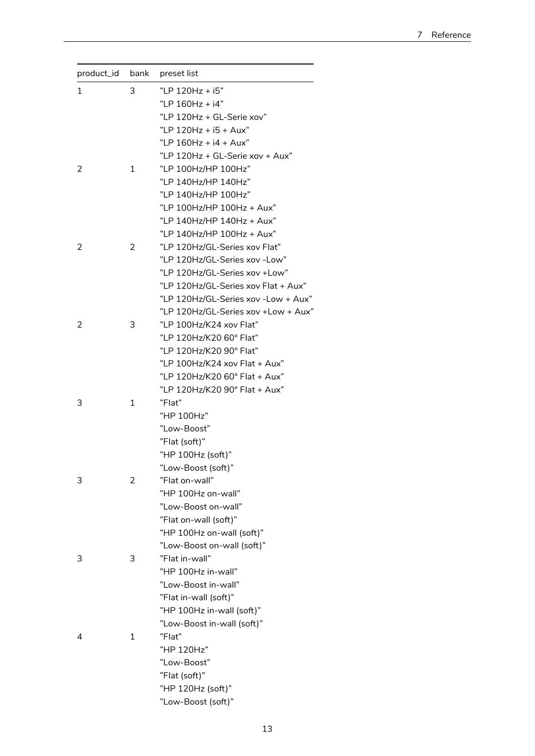| product_id | bank         | preset list                         |
|------------|--------------|-------------------------------------|
| 1          | 3            | "LP 120Hz + i5"                     |
|            |              | "LP 160Hz + i4"                     |
|            |              | "LP 120Hz + GL-Serie xov"           |
|            |              | "I P $120Hz + i5 + Aux$ "           |
|            |              | "LP 160Hz + i4 + Aux"               |
|            |              | "LP 120Hz + GL-Serie xov + Aux"     |
| 2          | 1            | "LP 100Hz/HP 100Hz"                 |
|            |              | "LP 140Hz/HP 140Hz"                 |
|            |              | "LP 140Hz/HP 100Hz"                 |
|            |              | "LP 100Hz/HP 100Hz + Aux"           |
|            |              | "LP 140Hz/HP 140Hz + Aux"           |
|            |              | "LP 140Hz/HP 100Hz + Aux"           |
| 2          | 2            | "LP 120Hz/GL-Series xov Flat"       |
|            |              | "LP 120Hz/GL-Series xov -Low"       |
|            |              | "LP 120Hz/GL-Series xov +Low"       |
|            |              | "LP 120Hz/GL-Series xov Flat + Aux" |
|            |              | "LP 120Hz/GL-Series xov -Low + Aux" |
|            |              | "LP 120Hz/GL-Series xov +Low + Aux" |
| 2          | 3            | "LP 100Hz/K24 xov Flat"             |
|            |              | "LP 120Hz/K20 60° Flat"             |
|            |              | "LP 120Hz/K20 90° Flat"             |
|            |              |                                     |
|            |              | "LP 100Hz/K24 xov Flat + Aux"       |
|            |              | "LP 120Hz/K20 60° Flat + Aux"       |
|            |              | "LP 120Hz/K20 90° Flat + Aux"       |
| 3          | $\mathbf{1}$ | "Flat"                              |
|            |              | "HP 100Hz"                          |
|            |              | "Low-Boost"                         |
|            |              | "Flat (soft)"                       |
|            |              | "HP 100Hz (soft)"                   |
|            | 2            | "Low-Boost (soft)"                  |
| 3          |              | "Flat on-wall"                      |
|            |              | "HP 100Hz on-wall"                  |
|            |              | "Low-Boost on-wall"                 |
|            |              | "Flat on-wall (soft)"               |
|            |              | "HP 100Hz on-wall (soft)"           |
|            |              | "Low-Boost on-wall (soft)"          |
| 3          | 3            | "Flat in-wall"                      |
|            |              | "HP 100Hz in-wall"                  |
|            |              | "Low-Boost in-wall"                 |
|            |              | "Flat in-wall (soft)"               |
|            |              | "HP 100Hz in-wall (soft)"           |
|            |              | "Low-Boost in-wall (soft)"          |
| 4          | 1            | "Flat"                              |
|            |              | "HP 120Hz"                          |
|            |              | "Low-Boost"                         |
|            |              | "Flat (soft)"                       |
|            |              | "HP 120Hz (soft)"                   |
|            |              | "Low-Boost (soft)"                  |
|            |              |                                     |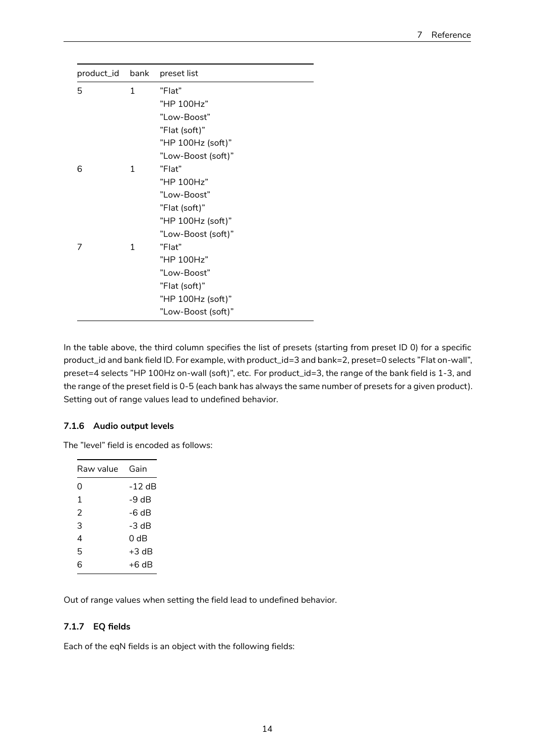| product_id bank |              | preset list        |
|-----------------|--------------|--------------------|
| 5               | $\mathbf{1}$ | "Flat"             |
|                 |              | "HP 100Hz"         |
|                 |              | "Low-Boost"        |
|                 |              | "Flat (soft)"      |
|                 |              | "HP 100Hz (soft)"  |
|                 |              | "Low-Boost (soft)" |
| 6               | 1            | "Flat"             |
|                 |              | "HP 100Hz"         |
|                 |              | "Low-Boost"        |
|                 |              | "Flat (soft)"      |
|                 |              | "HP 100Hz (soft)"  |
|                 |              | "Low-Boost (soft)" |
| 7               | 1            | "Flat"             |
|                 |              | "HP 100Hz"         |
|                 |              | "Low-Boost"        |
|                 |              | "Flat (soft)"      |
|                 |              | "HP 100Hz (soft)"  |
|                 |              | "Low-Boost (soft)" |

In the table above, the third column specifies the list of presets (starting from preset ID 0) for a specific product\_id and bank field ID. For example, with product\_id=3 and bank=2, preset=0 selects "Flat on-wall", preset=4 selects "HP 100Hz on-wall (soft)", etc. For product\_id=3, the range of the bank field is 1-3, and the range of the preset field is 0-5 (each bank has always the same number of presets for a given product). Setting out of range values lead to undefined behavior.

## <span id="page-13-0"></span>**7.1.6 Audio output levels**

The "level" field is encoded as follows:

Out of range values when setting the field lead to undefined behavior.

#### <span id="page-13-1"></span>**7.1.7 EQ fields**

Each of the eqN fields is an object with the following fields: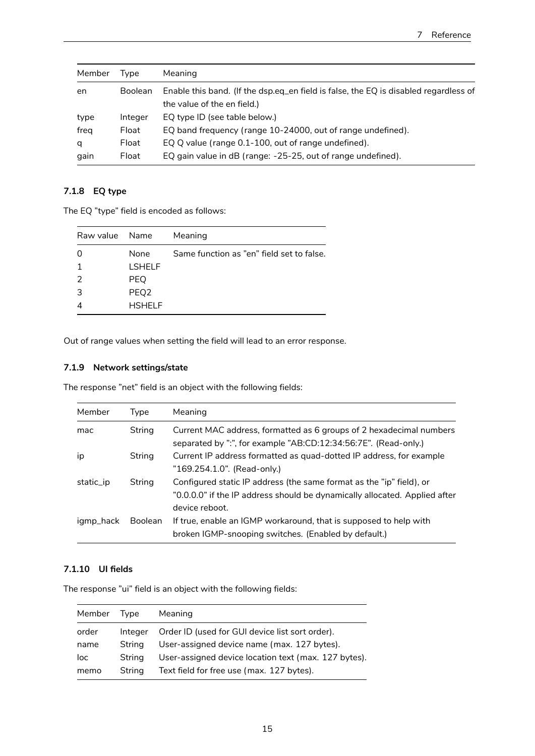| Member               | Tvpe    | Meaning                                                                              |  |
|----------------------|---------|--------------------------------------------------------------------------------------|--|
| <b>Boolean</b><br>en |         | Enable this band. (If the dsp.eq_en field is false, the EQ is disabled regardless of |  |
|                      |         | the value of the en field.)                                                          |  |
| type                 | Integer | EQ type ID (see table below.)                                                        |  |
| freg                 | Float   | EQ band frequency (range 10-24000, out of range undefined).                          |  |
| q                    | Float   | EQ Q value (range 0.1-100, out of range undefined).                                  |  |
| gain                 | Float   | EQ gain value in dB (range: -25-25, out of range undefined).                         |  |

## <span id="page-14-0"></span>**7.1.8 EQ type**

The EQ "type" field is encoded as follows:

| Raw value Name |                  | Meaning                                   |
|----------------|------------------|-------------------------------------------|
|                | None             | Same function as "en" field set to false. |
|                | <b>LSHELF</b>    |                                           |
| 2              | <b>PEQ</b>       |                                           |
| 3              | PEQ <sub>2</sub> |                                           |
|                | <b>HSHFIF</b>    |                                           |

Out of range values when setting the field will lead to an error response.

## <span id="page-14-1"></span>**7.1.9 Network settings/state**

The response "net" field is an object with the following fields:

| Member    | Type           | Meaning                                                                                                                                                              |
|-----------|----------------|----------------------------------------------------------------------------------------------------------------------------------------------------------------------|
| mac       | String         | Current MAC address, formatted as 6 groups of 2 hexadecimal numbers<br>separated by ":", for example "AB:CD:12:34:56:7E". (Read-only.)                               |
| ip        | String         | Current IP address formatted as quad-dotted IP address, for example<br>"169.254.1.0". (Read-only.)                                                                   |
| static_ip | String         | Configured static IP address (the same format as the "ip" field), or<br>"0.0.0.0" if the IP address should be dynamically allocated. Applied after<br>device reboot. |
| igmp_hack | <b>Boolean</b> | If true, enable an IGMP workaround, that is supposed to help with<br>broken IGMP-snooping switches. (Enabled by default.)                                            |

## <span id="page-14-2"></span>**7.1.10 UI fields**

The response "ui" field is an object with the following fields:

| Member | Tvpe    | Meaning                                              |
|--------|---------|------------------------------------------------------|
| order  | Integer | Order ID (used for GUI device list sort order).      |
| name   | String  | User-assigned device name (max. 127 bytes).          |
| loc    | String  | User-assigned device location text (max. 127 bytes). |
| memo   | String  | Text field for free use (max. 127 bytes).            |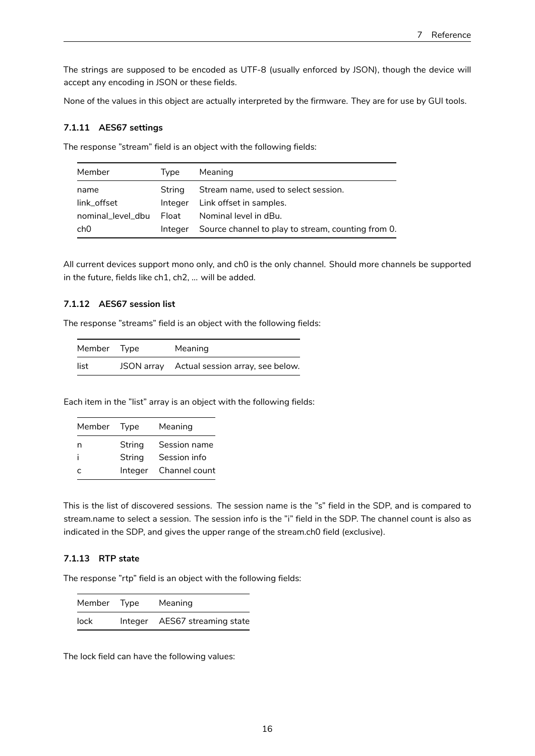The strings are supposed to be encoded as UTF-8 (usually enforced by JSON), though the device will accept any encoding in JSON or these fields.

None of the values in this object are actually interpreted by the firmware. They are for use by GUI tools.

#### <span id="page-15-0"></span>**7.1.11 AES67 settings**

The response "stream" field is an object with the following fields:

| Member            | Type    | Meaning                                            |
|-------------------|---------|----------------------------------------------------|
| name              | String  | Stream name, used to select session.               |
| link offset       | Integer | Link offset in samples.                            |
| nominal level dbu | Float   | Nominal level in dBu.                              |
| ch0               | Integer | Source channel to play to stream, counting from 0. |

All current devices support mono only, and ch0 is the only channel. Should more channels be supported in the future, fields like ch1, ch2, ... will be added.

#### <span id="page-15-1"></span>**7.1.12 AES67 session list**

The response "streams" field is an object with the following fields:

| Member Type | Meaning                                     |
|-------------|---------------------------------------------|
| list        | JSON array Actual session array, see below. |

Each item in the "list" array is an object with the following fields:

| Member | Type    | Meaning       |
|--------|---------|---------------|
| n      | String  | Session name  |
|        | String  | Session info  |
| r      | Integer | Channel count |

This is the list of discovered sessions. The session name is the "s" field in the SDP, and is compared to stream.name to select a session. The session info is the "i" field in the SDP. The channel count is also as indicated in the SDP, and gives the upper range of the stream.ch0 field (exclusive).

#### <span id="page-15-2"></span>**7.1.13 RTP state**

The response "rtp" field is an object with the following fields:

| Member Type | Meaning                       |
|-------------|-------------------------------|
| lock        | Integer AES67 streaming state |

The lock field can have the following values: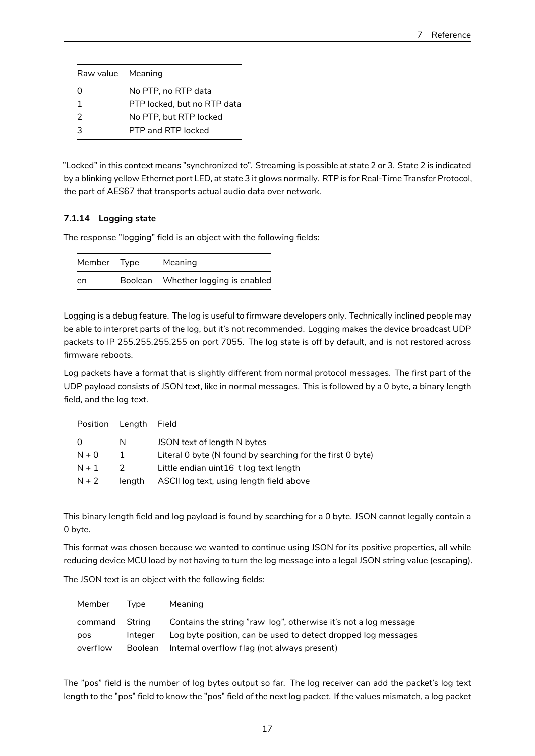| Raw value Meaning |                             |
|-------------------|-----------------------------|
| ი                 | No PTP, no RTP data         |
|                   | PTP locked, but no RTP data |
| $\mathcal{P}$     | No PTP, but RTP locked      |
| 3                 | PTP and RTP locked          |

"Locked" in this context means "synchronized to". Streaming is possible at state 2 or 3. State 2 is indicated by a blinking yellow Ethernet port LED, at state 3 it glows normally. RTP is for Real-Time Transfer Protocol, the part of AES67 that transports actual audio data over network.

## <span id="page-16-0"></span>**7.1.14 Logging state**

The response "logging" field is an object with the following fields:

| Member | Type    | Meaning                    |
|--------|---------|----------------------------|
| en     | Boolean | Whether logging is enabled |

Logging is a debug feature. The log is useful to firmware developers only. Technically inclined people may be able to interpret parts of the log, but it's not recommended. Logging makes the device broadcast UDP packets to IP 255.255.255.255 on port 7055. The log state is off by default, and is not restored across firmware reboots.

Log packets have a format that is slightly different from normal protocol messages. The first part of the UDP payload consists of JSON text, like in normal messages. This is followed by a 0 byte, a binary length field, and the log text.

| Position | Length        | Field                                                      |
|----------|---------------|------------------------------------------------------------|
| $\Omega$ | N             | JSON text of length N bytes                                |
| $N + 0$  | -1            | Literal 0 byte (N found by searching for the first 0 byte) |
| $N + 1$  | $\mathcal{P}$ | Little endian uint16_t log text length                     |
| $N + 2$  | lenath        | ASCII log text, using length field above                   |

This binary length field and log payload is found by searching for a 0 byte. JSON cannot legally contain a 0 byte.

This format was chosen because we wanted to continue using JSON for its positive properties, all while reducing device MCU load by not having to turn the log message into a legal JSON string value (escaping).

| Member         | <b>I</b> vpe      | Meaning                                                                                                                          |
|----------------|-------------------|----------------------------------------------------------------------------------------------------------------------------------|
| command<br>pos | String<br>Integer | Contains the string "raw_log", otherwise it's not a log message<br>Log byte position, can be used to detect dropped log messages |
| overflow       | <b>Boolean</b>    | Internal overflow flag (not always present)                                                                                      |

The JSON text is an object with the following fields:

The "pos" field is the number of log bytes output so far. The log receiver can add the packet's log text length to the "pos" field to know the "pos" field of the next log packet. If the values mismatch, a log packet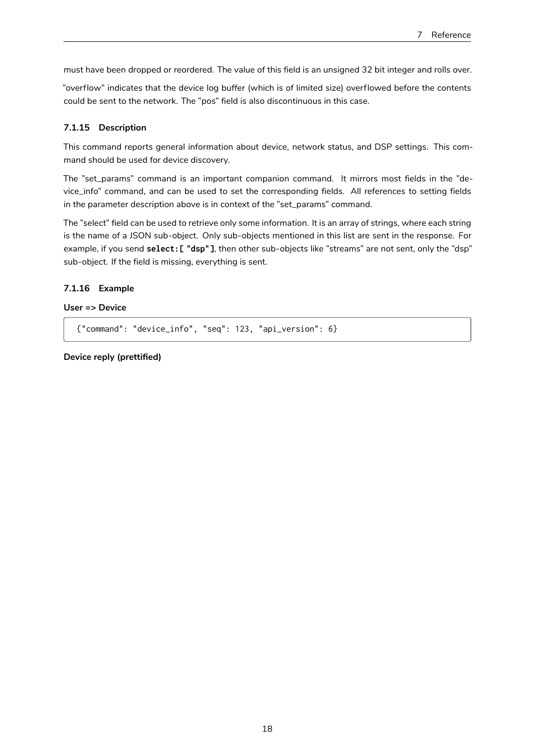must have been dropped or reordered. The value of this field is an unsigned 32 bit integer and rolls over.

"overflow" indicates that the device log buffer (which is of limited size) overflowed before the contents could be sent to the network. The "pos" field is also discontinuous in this case.

#### <span id="page-17-0"></span>**7.1.15 Description**

This command reports general information about device, network status, and DSP settings. This command should be used for device discovery.

The "set\_params" command is an important companion command. It mirrors most fields in the "device\_info" command, and can be used to set the corresponding fields. All references to setting fields in the parameter description above is in context of the "set\_params" command.

The "select" field can be used to retrieve only some information. It is an array of strings, where each string is the name of a JSON sub-object. Only sub-objects mentioned in this list are sent in the response. For example, if you send **select:[ "dsp"]**, then other sub-objects like "streams" are not sent, only the "dsp" sub-object. If the field is missing, everything is sent.

### <span id="page-17-1"></span>**7.1.16 Example**

#### **User => Device**

{"command": "device\_info", "seq": 123, "api\_version": 6}

**Device reply (prettified)**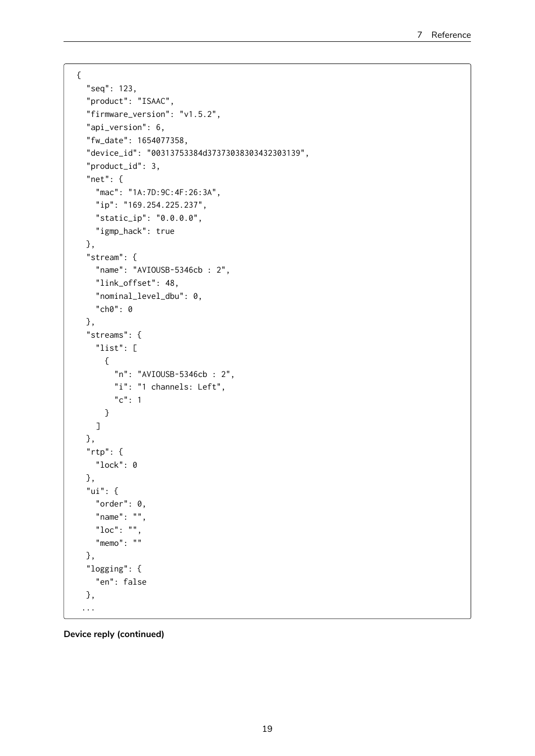```
{
  "seq": 123,
  "product": "ISAAC",
  "firmware_version": "v1.5.2",
  "api_version": 6,
  "fw_date": 1654077358,
  "device_id": "00313753384d37373038303432303139",
  "product_id": 3,
  "net": {
    "mac": "1A:7D:9C:4F:26:3A",
   "ip": "169.254.225.237",
   "static_ip": "0.0.0.0",
   "igmp_hack": true
 },
  "stream": {
   "name": "AVIOUSB-5346cb : 2",
    "link_offset": 48,
    "nominal_level_dbu": 0,
   "ch0": 0
 },
  "streams": {
    "list": [
     {
        "n": "AVIOUSB-5346cb : 2",
        "i": "1 channels: Left",
        "c": 1}
    ]
  },
  "rtp": {
   "lock": 0
  },
  "ui": {
   "order": 0,
   "name": "",
   "loc": "",
   "memo": ""
  },
  "logging": {
   "en": false
  },
 ...
```
**Device reply (continued)**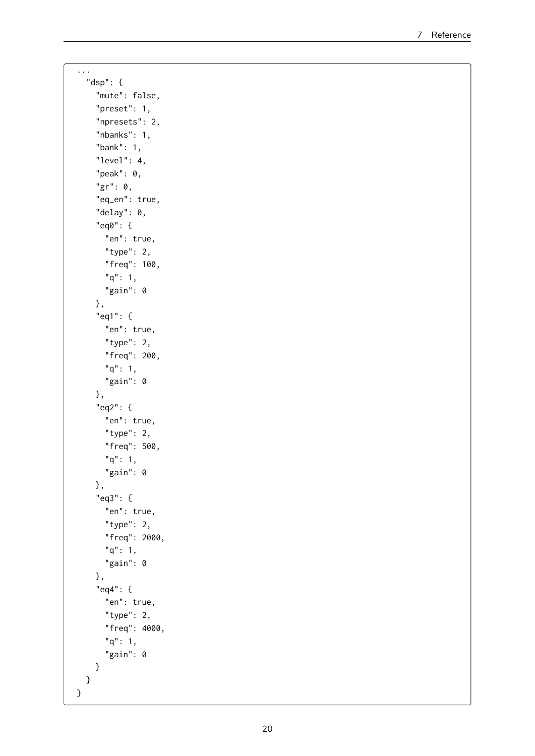```
...
  "dsp": {
    "mute": false,
    "preset": 1,
    "npresets": 2,
    "nbanks": 1,
    "bank": 1,
    "level": 4,
    "peak": 0,
    "gr": 0,
    "eq_en": true,
    "delay": 0,
    "eq0": {
      "en": true,
      "type": 2,
      "freq": 100,
      "q": 1,
      "gain": 0
    },
    "eq1": {
      "en": true,
      "type": 2,
      "freq": 200,
      "q": 1,
      "gain": 0
    },
    "eq2": {
      "en": true,
      "type": 2,
      "freq": 500,
      "q": 1,
      "gain": 0
    },
    "eq3": {
      "en": true,
      "type": 2,
      "freq": 2000,
      "q": 1,
      "gain": 0
    },
    "eq4": {
      "en": true,
      "type": 2,
      "freq": 4000,
      "q": 1,
      "gain": 0
    }
 }
}
```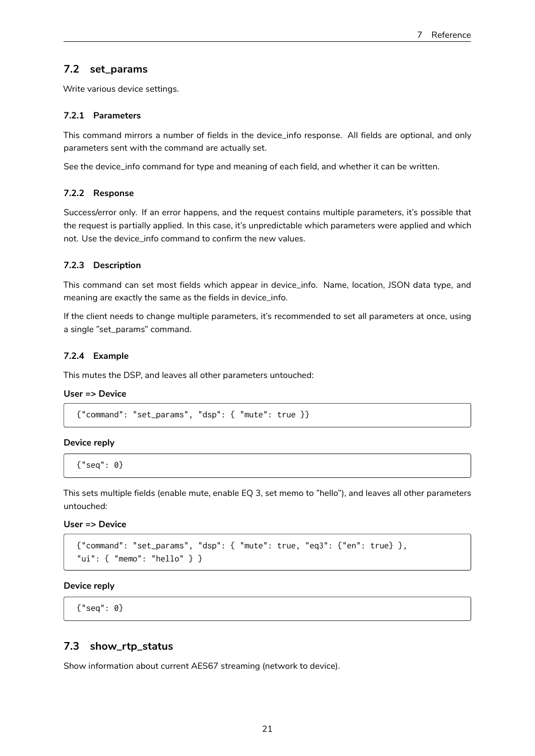# <span id="page-20-0"></span>**7.2 set\_params**

Write various device settings.

#### <span id="page-20-1"></span>**7.2.1 Parameters**

This command mirrors a number of fields in the device\_info response. All fields are optional, and only parameters sent with the command are actually set.

See the device\_info command for type and meaning of each field, and whether it can be written.

#### <span id="page-20-2"></span>**7.2.2 Response**

Success/error only. If an error happens, and the request contains multiple parameters, it's possible that the request is partially applied. In this case, it's unpredictable which parameters were applied and which not. Use the device\_info command to confirm the new values.

#### <span id="page-20-3"></span>**7.2.3 Description**

This command can set most fields which appear in device\_info. Name, location, JSON data type, and meaning are exactly the same as the fields in device\_info.

If the client needs to change multiple parameters, it's recommended to set all parameters at once, using a single "set\_params" command.

#### <span id="page-20-4"></span>**7.2.4 Example**

This mutes the DSP, and leaves all other parameters untouched:

#### **User => Device**

{"command": "set\_params", "dsp": { "mute": true }}

#### **Device reply**

{"seq": 0}

This sets multiple fields (enable mute, enable EQ 3, set memo to "hello"), and leaves all other parameters untouched:

### **User => Device**

```
{"command": "set_params", "dsp": { "mute": true, "eq3": {"en": true} },
"ui": { "memo": "hello" } }
```
#### **Device reply**

{"seq": 0}

#### <span id="page-20-5"></span>**7.3 show\_rtp\_status**

Show information about current AES67 streaming (network to device).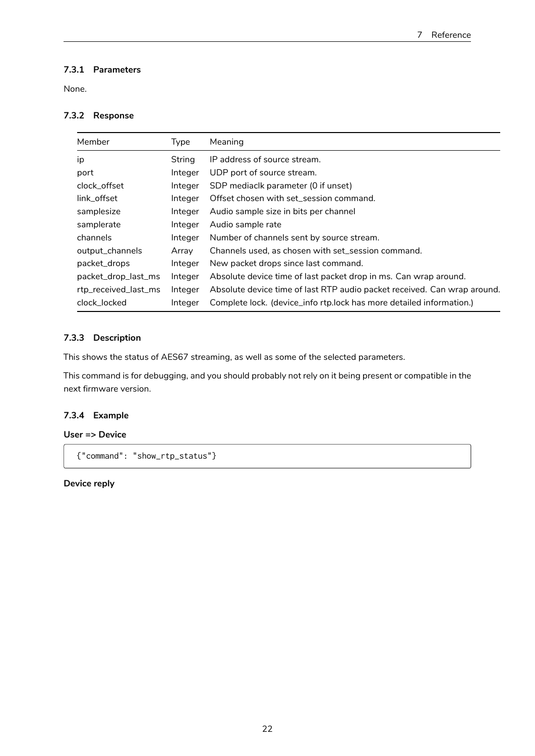# <span id="page-21-0"></span>**7.3.1 Parameters**

None.

### <span id="page-21-1"></span>**7.3.2 Response**

| Member               | Type    | Meaning                                                                  |
|----------------------|---------|--------------------------------------------------------------------------|
| ip                   | String  | IP address of source stream.                                             |
| port                 | Integer | UDP port of source stream.                                               |
| clock offset         | Integer | SDP mediaclk parameter (0 if unset)                                      |
| link offset          | Integer | Offset chosen with set session command.                                  |
| samplesize           | Integer | Audio sample size in bits per channel                                    |
| samplerate           | Integer | Audio sample rate                                                        |
| channels             | Integer | Number of channels sent by source stream.                                |
| output_channels      | Array   | Channels used, as chosen with set_session command.                       |
| packet_drops         | Integer | New packet drops since last command.                                     |
| packet_drop_last_ms  | Integer | Absolute device time of last packet drop in ms. Can wrap around.         |
| rtp_received_last_ms | Integer | Absolute device time of last RTP audio packet received. Can wrap around. |
| clock locked         | Integer | Complete lock. (device_info rtp.lock has more detailed information.)     |

### <span id="page-21-2"></span>**7.3.3 Description**

This shows the status of AES67 streaming, as well as some of the selected parameters.

This command is for debugging, and you should probably not rely on it being present or compatible in the next firmware version.

#### **7.3.4 Example**

### **User => Device**

{"command": "show\_rtp\_status"}

### **Device reply**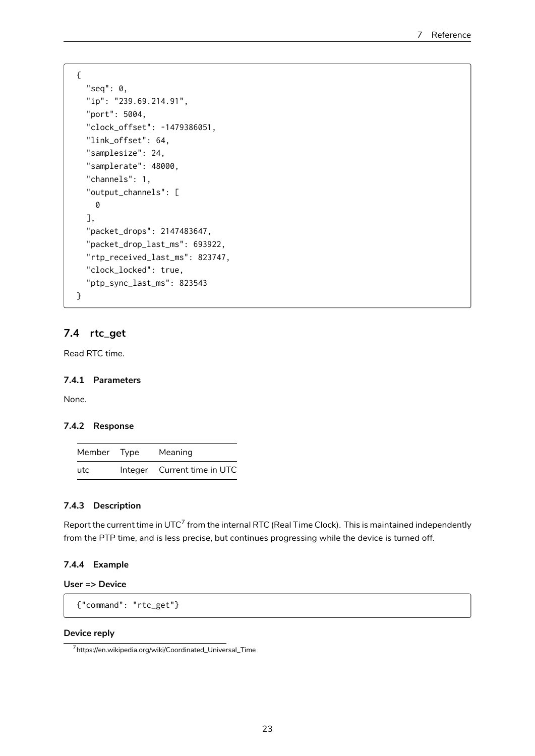```
{
  "seq": 0,
  "ip": "239.69.214.91",
  "port": 5004,
  "clock_offset": -1479386051,
  "link_offset": 64,
  "samplesize": 24,
  "samplerate": 48000,
  "channels": 1,
  "output_channels": [
   0
  ],
  "packet_drops": 2147483647,
  "packet_drop_last_ms": 693922,
  "rtp_received_last_ms": 823747,
  "clock_locked": true,
  "ptp_sync_last_ms": 823543
}
```
# **7.4 rtc\_get**

Read RTC time.

#### **7.4.1 Parameters**

None.

#### **7.4.2 Response**

| Member Type | Meaning                     |
|-------------|-----------------------------|
| utc         | Integer Current time in UTC |

### **7.4.3 Description**

<span id="page-22-0"></span>Report the current time in UTC $^7$  from the internal RTC (Real Time Clock). This is maintained independently from the PTP time, and is less precise, but continues progressing while the device is turned off.

### **7.4.4 Example**

## **User => Device**

```
{"command": "rtc_get"}
```
#### **Device reply**

<sup>7</sup>https://en.wikipedia.org/wiki/Coordinated\_Universal\_Time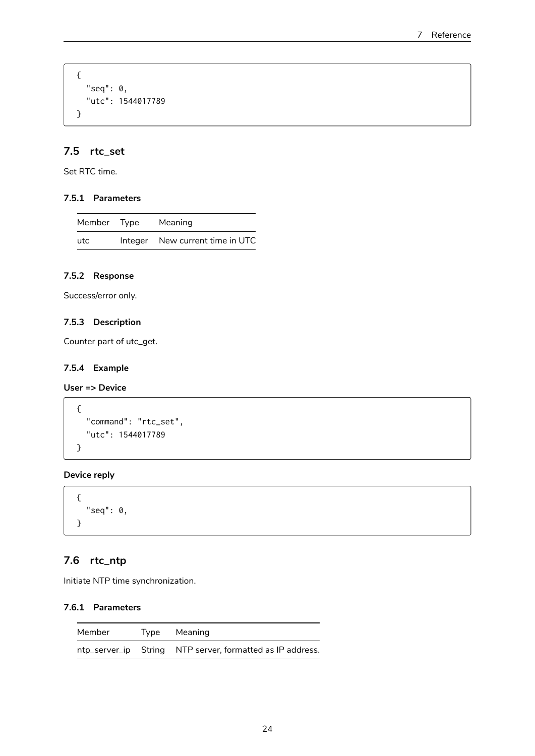```
{
  "seq": 0,
  "utc": 1544017789
}
```
# <span id="page-23-0"></span>**7.5 rtc\_set**

Set RTC time.

## <span id="page-23-1"></span>**7.5.1 Parameters**

| Member Type | Meaning                         |
|-------------|---------------------------------|
| utc         | Integer New current time in UTC |

## <span id="page-23-2"></span>**7.5.2 Response**

Success/error only.

## <span id="page-23-3"></span>**7.5.3 Description**

Counter part of utc\_get.

## <span id="page-23-4"></span>**7.5.4 Example**

### **User => Device**

```
{
  "command": "rtc_set",
  "utc": 1544017789
}
```
## **Device reply**

```
{
  "seq": \theta,
}
```
# <span id="page-23-5"></span>**7.6 rtc\_ntp**

Initiate NTP time synchronization.

#### <span id="page-23-6"></span>**7.6.1 Parameters**

| Member | Type Meaning                                              |
|--------|-----------------------------------------------------------|
|        | ntp_server_ip String NTP server, formatted as IP address. |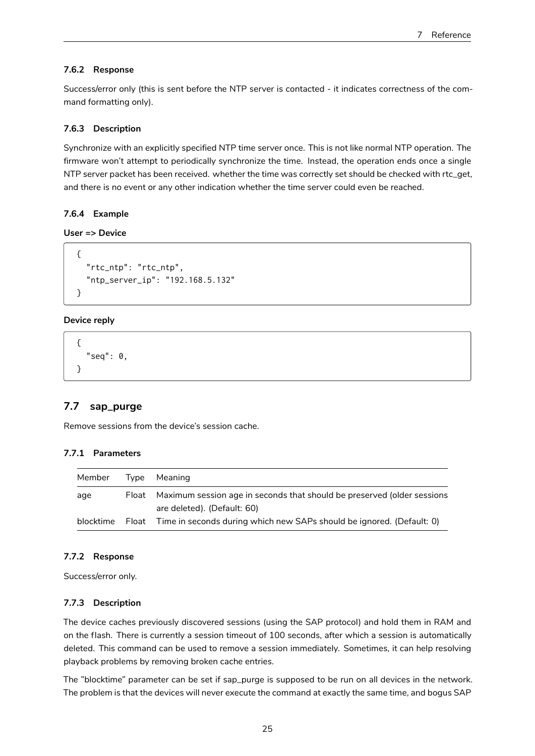#### <span id="page-24-0"></span>**7.6.2 Response**

Success/error only (this is sent before the NTP server is contacted - it indicates correctness of the command formatting only).

#### <span id="page-24-1"></span>**7.6.3 Description**

Synchronize with an explicitly specified NTP time server once. This is not like normal NTP operation. The firmware won't attempt to periodically synchronize the time. Instead, the operation ends once a single NTP server packet has been received. whether the time was correctly set should be checked with rtc\_get, and there is no event or any other indication whether the time server could even be reached.

#### <span id="page-24-2"></span>**7.6.4 Example**

#### **User => Device**

```
{
  "rtc_ntp": "rtc_ntp",
  "ntp_server_ip": "192.168.5.132"
}
```
#### **Device reply**

```
{
  "seq": 0,
}
```
### <span id="page-24-3"></span>**7.7 sap\_purge**

Remove sessions from the device's session cache.

### <span id="page-24-4"></span>**7.7.1 Parameters**

| Member | Type  | Meaning                                                                                                |
|--------|-------|--------------------------------------------------------------------------------------------------------|
| age    | Float | Maximum session age in seconds that should be preserved (older sessions<br>are deleted). (Default: 60) |
|        |       | blocktime Float Time in seconds during which new SAPs should be ignored. (Default: 0)                  |

#### <span id="page-24-5"></span>**7.7.2 Response**

Success/error only.

#### <span id="page-24-6"></span>**7.7.3 Description**

The device caches previously discovered sessions (using the SAP protocol) and hold them in RAM and on the flash. There is currently a session timeout of 100 seconds, after which a session is automatically deleted. This command can be used to remove a session immediately. Sometimes, it can help resolving playback problems by removing broken cache entries.

The "blocktime" parameter can be set if sap\_purge is supposed to be run on all devices in the network. The problem is that the devices will never execute the command at exactly the same time, and bogus SAP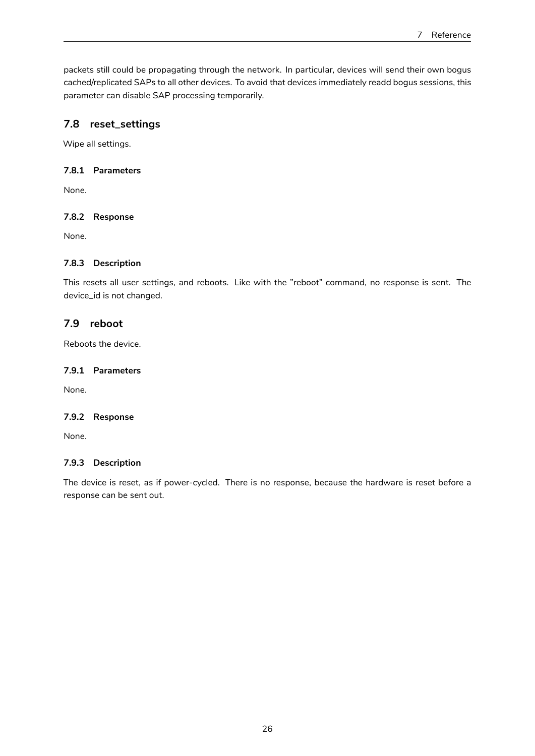packets still could be propagating through the network. In particular, devices will send their own bogus cached/replicated SAPs to all other devices. To avoid that devices immediately readd bogus sessions, this parameter can disable SAP processing temporarily.

# <span id="page-25-0"></span>**7.8 reset\_settings**

Wipe all settings.

## <span id="page-25-1"></span>**7.8.1 Parameters**

None.

## <span id="page-25-2"></span>**7.8.2 Response**

None.

## <span id="page-25-3"></span>**7.8.3 Description**

This resets all user settings, and reboots. Like with the "reboot" command, no response is sent. The device\_id is not changed.

# **7.9 reboot**

Reboots the device.

## **7.9.1 Parameters**

None.

# **7.9.2 Response**

None.

## **7.9.3 Description**

The device is reset, as if power-cycled. There is no response, because the hardware is reset before a response can be sent out.